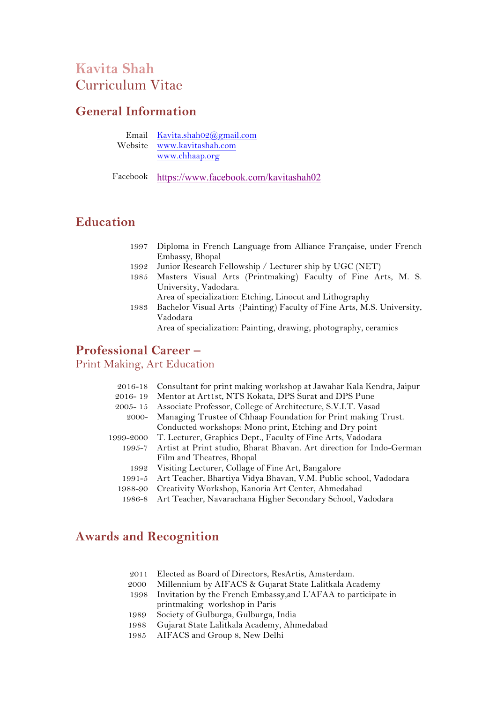## **Kavita Shah** Curriculum Vitae

## **General Information**

| Email Kavita.shah02@gmail.com |
|-------------------------------|
| Website www.kavitashah.com    |
| www.chhaap.org                |

Facebook https://www.facebook.com/kavitashah02

## **Education**

- 1997 Diploma in French Language from Alliance Française, under French Embassy, Bhopal
- 1992 Junior Research Fellowship / Lecturer ship by UGC (NET)
- 1985 Masters Visual Arts (Printmaking) Faculty of Fine Arts, M. S. University, Vadodara.
- Area of specialization: Etching, Linocut and Lithography 1983 Bachelor Visual Arts (Painting) Faculty of Fine Arts, M.S. University,

Vadodara Area of specialization: Painting, drawing, photography, ceramics

## **Professional Career –**

#### Print Making, Art Education

| Consultant for print making workshop at Jawahar Kala Kendra, Jaipur         |
|-----------------------------------------------------------------------------|
| Mentor at Art1st, NTS Kokata, DPS Surat and DPS Pune                        |
| Associate Professor, College of Architecture, S.V.I.T. Vasad                |
| Managing Trustee of Chhaap Foundation for Print making Trust.               |
| Conducted workshops: Mono print, Etching and Dry point                      |
| T. Lecturer, Graphics Dept., Faculty of Fine Arts, Vadodara                 |
| 1995-7 Artist at Print studio, Bharat Bhavan. Art direction for Indo-German |
| Film and Theatres, Bhopal                                                   |
| Visiting Lecturer, Collage of Fine Art, Bangalore                           |
| Art Teacher, Bhartiya Vidya Bhavan, V.M. Public school, Vadodara            |
| Creativity Workshop, Kanoria Art Center, Ahmedabad                          |
| Art Teacher, Navarachana Higher Secondary School, Vadodara                  |
|                                                                             |

## **Awards and Recognition**

- 2011 Elected as Board of Directors, ResArtis, Amsterdam.
- 2000 Millennium by AIFACS & Gujarat State Lalitkala Academy
- 1998 Invitation by the French Embassy,and L'AFAA to participate in printmaking workshop in Paris
- 1989 Society of Gulburga, Gulburga, India
- 1988 Gujarat State Lalitkala Academy, Ahmedabad
- 1985 AIFACS and Group 8, New Delhi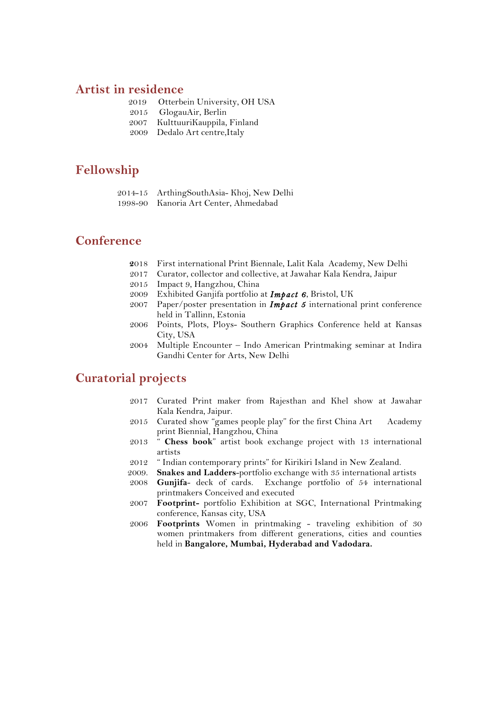#### **Artist in residence**

- 2019 Otterbein University, OH USA
- 2015 GlogauAir, Berlin
- 2007 KulttuuriKauppila, Finland
- 2009 Dedalo Art centre,Italy

### **Fellowship**

|   | 2014-15 ArthingSouthAsia-Khoj, New Delhi |  |  |
|---|------------------------------------------|--|--|
| . |                                          |  |  |

1998-90 Kanoria Art Center, Ahmedabad

#### **Conference**

- **2**018 First international Print Biennale, Lalit Kala Academy, New Delhi
- 2017 Curator, collector and collective, at Jawahar Kala Kendra, Jaipur
- 2015 Impact 9, Hangzhou, China
- 2009 Exhibited Ganjifa portfolio at *Impact 6*, Bristol, UK
- 2007 Paper/poster presentation in *Impact 5* international print conference held in Tallinn, Estonia
- 2006 Points, Plots, Ploys- Southern Graphics Conference held at Kansas City, USA
- 2004 Multiple Encounter Indo American Printmaking seminar at Indira Gandhi Center for Arts, New Delhi

### **Curatorial projects**

- 2017 Curated Print maker from Rajesthan and Khel show at Jawahar Kala Kendra, Jaipur.
- 2015 Curated show "games people play" for the first China Art Academy print Biennial, Hangzhou, China
- 2013 " **Chess book**" artist book exchange project with 13 international artists
- 2012 " Indian contemporary prints" for Kirikiri Island in New Zealand.
- 2009. **Snakes and Ladders**-portfolio exchange with 35 international artists
- 2008 **Gunjifa** deck of cards. Exchange portfolio of 54 international printmakers Conceived and executed
- 2007 **Footprint-** portfolio Exhibition at SGC, International Printmaking conference, Kansas city, USA
- 2006 **Footprints** Women in printmaking traveling exhibition of 30 women printmakers from different generations, cities and counties held in **Bangalore, Mumbai, Hyderabad and Vadodara.**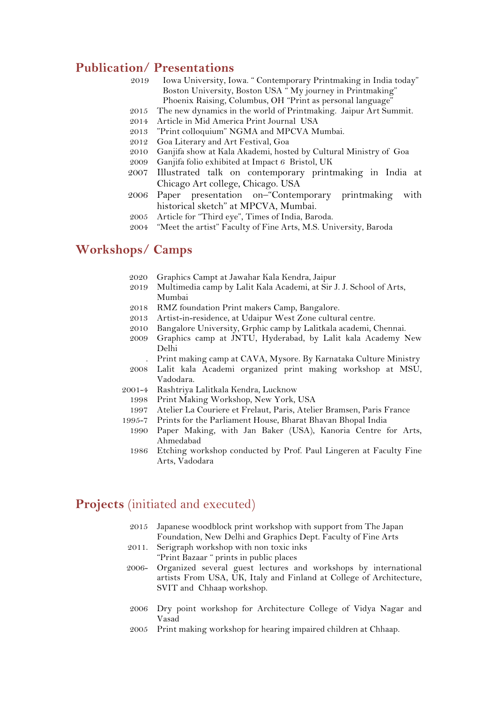#### **Publication/ Presentations**

- 2019 Iowa University, Iowa. " Contemporary Printmaking in India today" Boston University, Boston USA " My journey in Printmaking" Phoenix Raising, Columbus, OH "Print as personal language"
- 2015 The new dynamics in the world of Printmaking. Jaipur Art Summit.
- 2014 Article in Mid America Print Journal USA
- 2013 "Print colloquium" NGMA and MPCVA Mumbai.
- 2012 Goa Literary and Art Festival, Goa
- 2010 Ganjifa show at Kala Akademi, hosted by Cultural Ministry of Goa
- 2009 Ganjifa folio exhibited at Impact 6 Bristol, UK
- 2007 Illustrated talk on contemporary printmaking in India at Chicago Art college, Chicago. USA
- 2006 Paper presentation on–"Contemporary printmaking with historical sketch" at MPCVA, Mumbai.
- 2005 Article for "Third eye", Times of India, Baroda.
- 2004 "Meet the artist" Faculty of Fine Arts, M.S. University, Baroda

### **Workshops/ Camps**

- 2020 Graphics Campt at Jawahar Kala Kendra, Jaipur
- 2019 Multimedia camp by Lalit Kala Academi, at Sir J. J. School of Arts, Mumbai
- 2018 RMZ foundation Print makers Camp, Bangalore.
- 2013 Artist-in-residence, at Udaipur West Zone cultural centre.
- 2010 Bangalore University, Grphic camp by Lalitkala academi, Chennai.
- 2009 Graphics camp at JNTU, Hyderabad, by Lalit kala Academy New Delhi
	- . Print making camp at CAVA, Mysore. By Karnataka Culture Ministry
- 2008 Lalit kala Academi organized print making workshop at MSU, Vadodara.
- 2001-4 Rashtriya Lalitkala Kendra, Lucknow
	- 1998 Print Making Workshop, New York, USA
	- 1997 Atelier La Couriere et Frelaut, Paris, Atelier Bramsen, Paris France
- 1995-7 Prints for the Parliament House, Bharat Bhavan Bhopal India
	- 1990 Paper Making, with Jan Baker (USA), Kanoria Centre for Arts, Ahmedabad
	- 1986 Etching workshop conducted by Prof. Paul Lingeren at Faculty Fine Arts, Vadodara

#### **Projects** (initiated and executed)

- 2015 Japanese woodblock print workshop with support from The Japan Foundation, New Delhi and Graphics Dept. Faculty of Fine Arts
- 2011. Serigraph workshop with non toxic inks "Print Bazaar " prints in public places
- 2006- Organized several guest lectures and workshops by international artists From USA, UK, Italy and Finland at College of Architecture, SVIT and Chhaap workshop.
- 2006 Dry point workshop for Architecture College of Vidya Nagar and Vasad
- 2005 Print making workshop for hearing impaired children at Chhaap.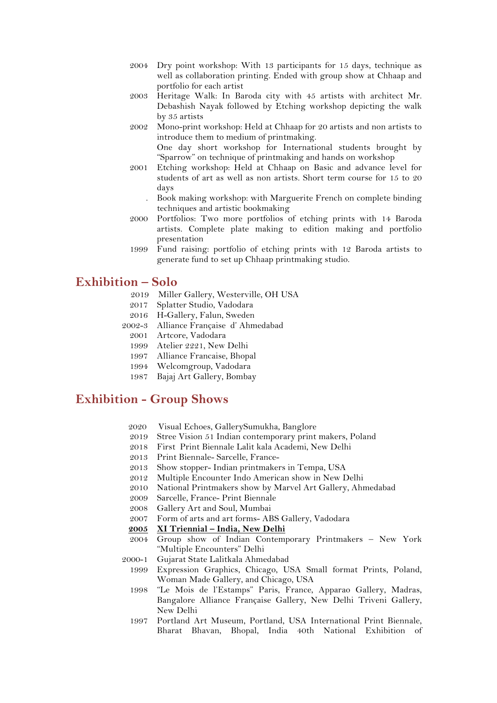- 2004 Dry point workshop: With 13 participants for 15 days, technique as well as collaboration printing. Ended with group show at Chhaap and portfolio for each artist
- 2003 Heritage Walk: In Baroda city with 45 artists with architect Mr. Debashish Nayak followed by Etching workshop depicting the walk by 35 artists
- 2002 Mono-print workshop: Held at Chhaap for 20 artists and non artists to introduce them to medium of printmaking.

One day short workshop for International students brought by "Sparrow" on technique of printmaking and hands on workshop

- 2001 Etching workshop: Held at Chhaap on Basic and advance level for students of art as well as non artists. Short term course for 15 to 20 days
	- . Book making workshop: with Marguerite French on complete binding techniques and artistic bookmaking
- 2000 Portfolios: Two more portfolios of etching prints with 14 Baroda artists. Complete plate making to edition making and portfolio presentation
- 1999 Fund raising: portfolio of etching prints with 12 Baroda artists to generate fund to set up Chhaap printmaking studio.

#### **Exhibition – Solo**

- 2019 Miller Gallery, Westerville, OH USA
- 2017 Splatter Studio, Vadodara
- 2016 H-Gallery, Falun, Sweden
- 2002-3 Alliance Française d' Ahmedabad
	- 2001 Artcore, Vadodara
	- 1999 Atelier 2221, New Delhi
	- 1997 Alliance Francaise, Bhopal
	- 1994 Welcomgroup, Vadodara
- 1987 Bajaj Art Gallery, Bombay

## **Exhibition - Group Shows**

- 2020 Visual Echoes, GallerySumukha, Banglore
- 2019 Stree Vision 51 Indian contemporary print makers, Poland
- 2018 First Print Biennale Lalit kala Academi, New Delhi
- 2013 Print Biennale- Sarcelle, France-
- 2013 Show stopper- Indian printmakers in Tempa, USA
- 2012 Multiple Encounter Indo American show in New Delhi
- 2010 National Printmakers show by Marvel Art Gallery, Ahmedabad
- 2009 Sarcelle, France- Print Biennale
- 2008 Gallery Art and Soul, Mumbai
- 2007 Formof arts and art forms- ABS Gallery, Vadodara
- **2005 XI Triennial – India, New Delhi**
- 2004 Group show of Indian Contemporary Printmakers New York "Multiple Encounters" Delhi
- 2000-1 Gujarat State Lalitkala Ahmedabad
	- 1999 Expression Graphics, Chicago, USA Small format Prints, Poland, Woman Made Gallery, and Chicago, USA
	- 1998 "Le Mois de l'Estamps" Paris, France, Apparao Gallery, Madras, Bangalore Alliance Française Gallery, New Delhi Triveni Gallery, New Delhi
	- 1997 Portland Art Museum, Portland, USA International Print Biennale, Bharat Bhavan, Bhopal, India 40th National Exhibition of